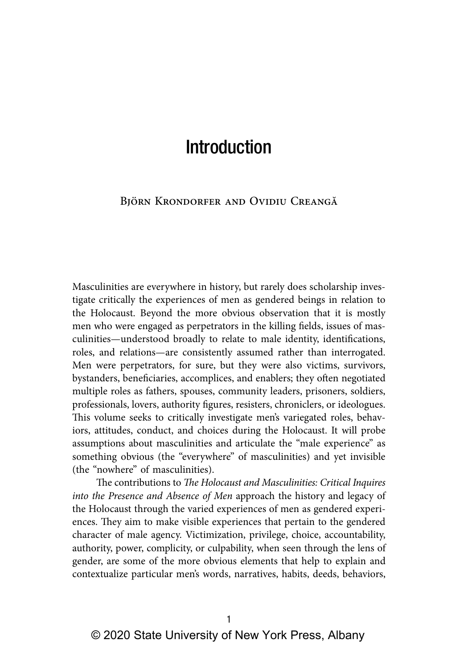## Björn Krondorfer and Ovidiu Creangă

Masculinities are everywhere in history, but rarely does scholarship investigate critically the experiences of men as gendered beings in relation to the Holocaust. Beyond the more obvious observation that it is mostly men who were engaged as perpetrators in the killing fields, issues of masculinities—understood broadly to relate to male identity, identifications, roles, and relations—are consistently assumed rather than interrogated. Men were perpetrators, for sure, but they were also victims, survivors, bystanders, beneficiaries, accomplices, and enablers; they often negotiated multiple roles as fathers, spouses, community leaders, prisoners, soldiers, professionals, lovers, authority figures, resisters, chroniclers, or ideologues. This volume seeks to critically investigate men's variegated roles, behaviors, attitudes, conduct, and choices during the Holocaust. It will probe assumptions about masculinities and articulate the "male experience" as something obvious (the "everywhere" of masculinities) and yet invisible (the "nowhere" of masculinities).

The contributions to *The Holocaust and Masculinities: Critical Inquires into the Presence and Absence of Men* approach the history and legacy of the Holocaust through the varied experiences of men as gendered experiences. They aim to make visible experiences that pertain to the gendered character of male agency. Victimization, privilege, choice, accountability, authority, power, complicity, or culpability, when seen through the lens of gender, are some of the more obvious elements that help to explain and contextualize particular men's words, narratives, habits, deeds, behaviors,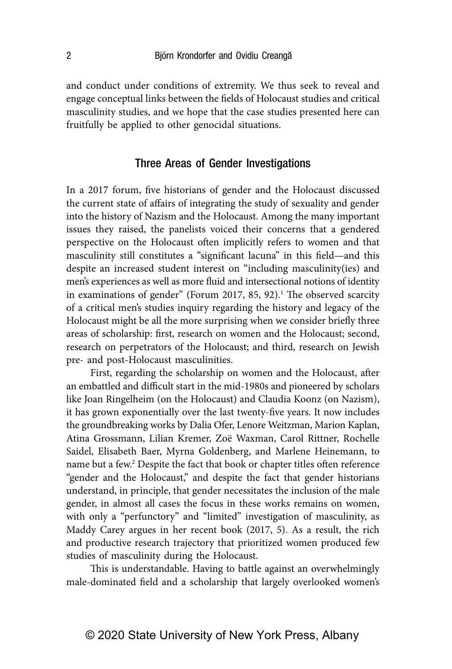and conduct under conditions of extremity. We thus seek to reveal and engage conceptual links between the fields of Holocaust studies and critical masculinity studies, and we hope that the case studies presented here can fruitfully be applied to other genocidal situations.

## Three Areas of Gender Investigations

In a 2017 forum, five historians of gender and the Holocaust discussed the current state of affairs of integrating the study of sexuality and gender into the history of Nazism and the Holocaust. Among the many important issues they raised, the panelists voiced their concerns that a gendered perspective on the Holocaust often implicitly refers to women and that masculinity still constitutes a "significant lacuna" in this field—and this despite an increased student interest on "including masculinity(ies) and men's experiences as well as more fluid and intersectional notions of identity in examinations of gender" (Forum 2017, 85, 92).<sup>1</sup> The observed scarcity of a critical men's studies inquiry regarding the history and legacy of the Holocaust might be all the more surprising when we consider briefly three areas of scholarship: first, research on women and the Holocaust; second, research on perpetrators of the Holocaust; and third, research on Jewish pre- and post-Holocaust masculinities.

First, regarding the scholarship on women and the Holocaust, after an embattled and difficult start in the mid-1980s and pioneered by scholars like Joan Ringelheim (on the Holocaust) and Claudia Koonz (on Nazism), it has grown exponentially over the last twenty-five years. It now includes the groundbreaking works by Dalia Ofer, Lenore Weitzman, Marion Kaplan, Atina Grossmann, Lilian Kremer, Zoë Waxman, Carol Rittner, Rochelle Saidel, Elisabeth Baer, Myrna Goldenberg, and Marlene Heinemann, to name but a few.<sup>2</sup> Despite the fact that book or chapter titles often reference "gender and the Holocaust," and despite the fact that gender historians understand, in principle, that gender necessitates the inclusion of the male gender, in almost all cases the focus in these works remains on women, with only a "perfunctory" and "limited" investigation of masculinity, as Maddy Carey argues in her recent book (2017, 5). As a result, the rich and productive research trajectory that prioritized women produced few studies of masculinity during the Holocaust.

This is understandable. Having to battle against an overwhelmingly male-dominated field and a scholarship that largely overlooked women's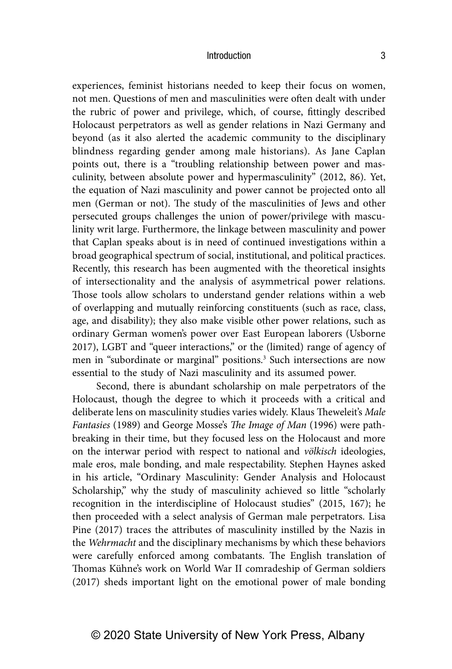experiences, feminist historians needed to keep their focus on women, not men. Questions of men and masculinities were often dealt with under the rubric of power and privilege, which, of course, fittingly described Holocaust perpetrators as well as gender relations in Nazi Germany and beyond (as it also alerted the academic community to the disciplinary blindness regarding gender among male historians). As Jane Caplan points out, there is a "troubling relationship between power and masculinity, between absolute power and hypermasculinity" (2012, 86). Yet, the equation of Nazi masculinity and power cannot be projected onto all men (German or not). The study of the masculinities of Jews and other persecuted groups challenges the union of power/privilege with masculinity writ large. Furthermore, the linkage between masculinity and power that Caplan speaks about is in need of continued investigations within a broad geographical spectrum of social, institutional, and political practices. Recently, this research has been augmented with the theoretical insights of intersectionality and the analysis of asymmetrical power relations. Those tools allow scholars to understand gender relations within a web of overlapping and mutually reinforcing constituents (such as race, class, age, and disability); they also make visible other power relations, such as ordinary German women's power over East European laborers (Usborne 2017), LGBT and "queer interactions," or the (limited) range of agency of men in "subordinate or marginal" positions.<sup>3</sup> Such intersections are now essential to the study of Nazi masculinity and its assumed power.

Second, there is abundant scholarship on male perpetrators of the Holocaust, though the degree to which it proceeds with a critical and deliberate lens on masculinity studies varies widely. Klaus Theweleit's *Male Fantasies* (1989) and George Mosse's *The Image of Man* (1996) were pathbreaking in their time, but they focused less on the Holocaust and more on the interwar period with respect to national and *völkisch* ideologies, male eros, male bonding, and male respectability. Stephen Haynes asked in his article, "Ordinary Masculinity: Gender Analysis and Holocaust Scholarship," why the study of masculinity achieved so little "scholarly recognition in the interdiscipline of Holocaust studies" (2015, 167); he then proceeded with a select analysis of German male perpetrators. Lisa Pine (2017) traces the attributes of masculinity instilled by the Nazis in the *Wehrmacht* and the disciplinary mechanisms by which these behaviors were carefully enforced among combatants. The English translation of Thomas Kühne's work on World War II comradeship of German soldiers (2017) sheds important light on the emotional power of male bonding

# © 2020 State University of New York Press, Albany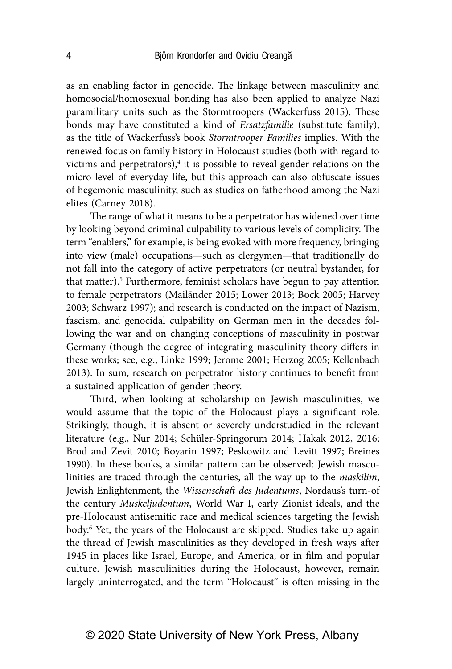as an enabling factor in genocide. The linkage between masculinity and homosocial/homosexual bonding has also been applied to analyze Nazi paramilitary units such as the Stormtroopers (Wackerfuss 2015). These bonds may have constituted a kind of *Ersatzfamilie* (substitute family), as the title of Wackerfuss's book *Stormtrooper Families* implies. With the renewed focus on family history in Holocaust studies (both with regard to victims and perpetrators),<sup>4</sup> it is possible to reveal gender relations on the micro-level of everyday life, but this approach can also obfuscate issues of hegemonic masculinity, such as studies on fatherhood among the Nazi elites (Carney 2018).

The range of what it means to be a perpetrator has widened over time by looking beyond criminal culpability to various levels of complicity. The term "enablers," for example, is being evoked with more frequency, bringing into view (male) occupations—such as clergymen—that traditionally do not fall into the category of active perpetrators (or neutral bystander, for that matter).<sup>5</sup> Furthermore, feminist scholars have begun to pay attention to female perpetrators (Mailänder 2015; Lower 2013; Bock 2005; Harvey 2003; Schwarz 1997); and research is conducted on the impact of Nazism, fascism, and genocidal culpability on German men in the decades following the war and on changing conceptions of masculinity in postwar Germany (though the degree of integrating masculinity theory differs in these works; see, e.g., Linke 1999; Jerome 2001; Herzog 2005; Kellenbach 2013). In sum, research on perpetrator history continues to benefit from a sustained application of gender theory.

Third, when looking at scholarship on Jewish masculinities, we would assume that the topic of the Holocaust plays a significant role. Strikingly, though, it is absent or severely understudied in the relevant literature (e.g., Nur 2014; Schüler-Springorum 2014; Hakak 2012, 2016; Brod and Zevit 2010; Boyarin 1997; Peskowitz and Levitt 1997; Breines 1990). In these books, a similar pattern can be observed: Jewish masculinities are traced through the centuries, all the way up to the *maskilim*, Jewish Enlightenment, the *Wissenschaft des Judentums*, Nordaus's turn-of the century *Muskeljudentum*, World War I, early Zionist ideals, and the pre-Holocaust antisemitic race and medical sciences targeting the Jewish body.6 Yet, the years of the Holocaust are skipped. Studies take up again the thread of Jewish masculinities as they developed in fresh ways after 1945 in places like Israel, Europe, and America, or in film and popular culture. Jewish masculinities during the Holocaust, however, remain largely uninterrogated, and the term "Holocaust" is often missing in the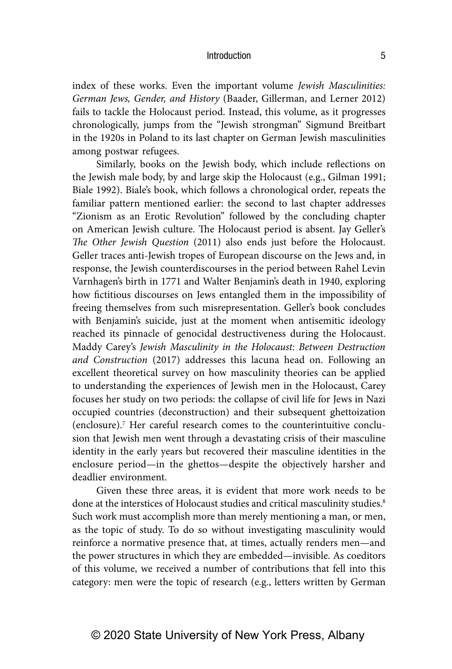index of these works. Even the important volume *Jewish Masculinities: German Jews, Gender, and History* (Baader, Gillerman, and Lerner 2012) fails to tackle the Holocaust period. Instead, this volume, as it progresses chronologically, jumps from the "Jewish strongman" Sigmund Breitbart in the 1920s in Poland to its last chapter on German Jewish masculinities among postwar refugees.

Similarly, books on the Jewish body, which include reflections on the Jewish male body, by and large skip the Holocaust (e.g., Gilman 1991; Biale 1992). Biale's book, which follows a chronological order, repeats the familiar pattern mentioned earlier: the second to last chapter addresses "Zionism as an Erotic Revolution" followed by the concluding chapter on American Jewish culture. The Holocaust period is absent. Jay Geller's *The Other Jewish Question* (2011) also ends just before the Holocaust. Geller traces anti-Jewish tropes of European discourse on the Jews and, in response, the Jewish counterdiscourses in the period between Rahel Levin Varnhagen's birth in 1771 and Walter Benjamin's death in 1940, exploring how fictitious discourses on Jews entangled them in the impossibility of freeing themselves from such misrepresentation. Geller's book concludes with Benjamin's suicide, just at the moment when antisemitic ideology reached its pinnacle of genocidal destructiveness during the Holocaust. Maddy Carey's *Jewish Masculinity in the Holocaust: Between Destruction and Construction* (2017) addresses this lacuna head on. Following an excellent theoretical survey on how masculinity theories can be applied to understanding the experiences of Jewish men in the Holocaust, Carey focuses her study on two periods: the collapse of civil life for Jews in Nazi occupied countries (deconstruction) and their subsequent ghettoization (enclosure).7 Her careful research comes to the counterintuitive conclusion that Jewish men went through a devastating crisis of their masculine identity in the early years but recovered their masculine identities in the enclosure period—in the ghettos—despite the objectively harsher and deadlier environment.

Given these three areas, it is evident that more work needs to be done at the interstices of Holocaust studies and critical masculinity studies.<sup>8</sup> Such work must accomplish more than merely mentioning a man, or men, as the topic of study. To do so without investigating masculinity would reinforce a normative presence that, at times, actually renders men—and the power structures in which they are embedded—invisible. As coeditors of this volume, we received a number of contributions that fell into this category: men were the topic of research (e.g., letters written by German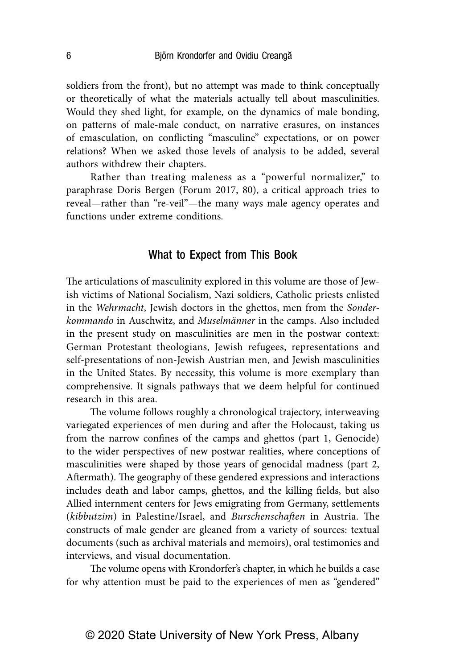soldiers from the front), but no attempt was made to think conceptually or theoretically of what the materials actually tell about masculinities. Would they shed light, for example, on the dynamics of male bonding, on patterns of male-male conduct, on narrative erasures, on instances of emasculation, on conflicting "masculine" expectations, or on power relations? When we asked those levels of analysis to be added, several authors withdrew their chapters.

Rather than treating maleness as a "powerful normalizer," to paraphrase Doris Bergen (Forum 2017, 80), a critical approach tries to reveal—rather than "re-veil"—the many ways male agency operates and functions under extreme conditions.

## What to Expect from This Book

The articulations of masculinity explored in this volume are those of Jewish victims of National Socialism, Nazi soldiers, Catholic priests enlisted in the *Wehrmacht*, Jewish doctors in the ghettos, men from the *Sonderkommando* in Auschwitz, and *Muselmänner* in the camps. Also included in the present study on masculinities are men in the postwar context: German Protestant theologians, Jewish refugees, representations and self-presentations of non-Jewish Austrian men, and Jewish masculinities in the United States. By necessity, this volume is more exemplary than comprehensive. It signals pathways that we deem helpful for continued research in this area.

The volume follows roughly a chronological trajectory, interweaving variegated experiences of men during and after the Holocaust, taking us from the narrow confines of the camps and ghettos (part 1, Genocide) to the wider perspectives of new postwar realities, where conceptions of masculinities were shaped by those years of genocidal madness (part 2, Aftermath). The geography of these gendered expressions and interactions includes death and labor camps, ghettos, and the killing fields, but also Allied internment centers for Jews emigrating from Germany, settlements (*kibbutzim*) in Palestine/Israel, and *Burschenschaften* in Austria. The constructs of male gender are gleaned from a variety of sources: textual documents (such as archival materials and memoirs), oral testimonies and interviews, and visual documentation.

The volume opens with Krondorfer's chapter, in which he builds a case for why attention must be paid to the experiences of men as "gendered"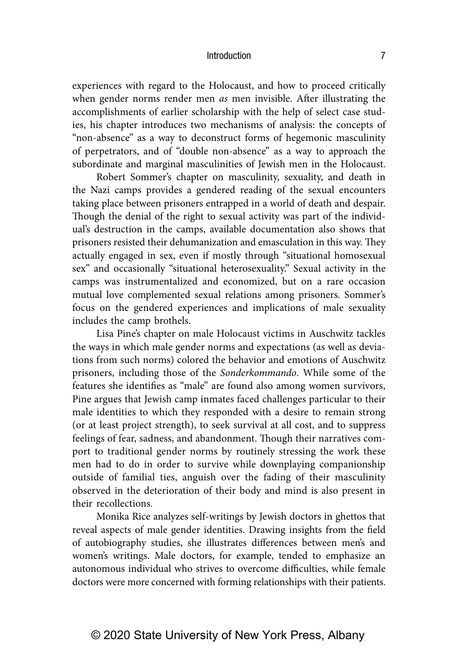experiences with regard to the Holocaust, and how to proceed critically when gender norms render men *as* men invisible. After illustrating the accomplishments of earlier scholarship with the help of select case studies, his chapter introduces two mechanisms of analysis: the concepts of "non-absence" as a way to deconstruct forms of hegemonic masculinity of perpetrators, and of "double non-absence" as a way to approach the subordinate and marginal masculinities of Jewish men in the Holocaust.

Robert Sommer's chapter on masculinity, sexuality, and death in the Nazi camps provides a gendered reading of the sexual encounters taking place between prisoners entrapped in a world of death and despair. Though the denial of the right to sexual activity was part of the individual's destruction in the camps, available documentation also shows that prisoners resisted their dehumanization and emasculation in this way. They actually engaged in sex, even if mostly through "situational homosexual sex" and occasionally "situational heterosexuality." Sexual activity in the camps was instrumentalized and economized, but on a rare occasion mutual love complemented sexual relations among prisoners. Sommer's focus on the gendered experiences and implications of male sexuality includes the camp brothels.

Lisa Pine's chapter on male Holocaust victims in Auschwitz tackles the ways in which male gender norms and expectations (as well as deviations from such norms) colored the behavior and emotions of Auschwitz prisoners, including those of the *Sonderkommando*. While some of the features she identifies as "male" are found also among women survivors, Pine argues that Jewish camp inmates faced challenges particular to their male identities to which they responded with a desire to remain strong (or at least project strength), to seek survival at all cost, and to suppress feelings of fear, sadness, and abandonment. Though their narratives comport to traditional gender norms by routinely stressing the work these men had to do in order to survive while downplaying companionship outside of familial ties, anguish over the fading of their masculinity observed in the deterioration of their body and mind is also present in their recollections.

Monika Rice analyzes self-writings by Jewish doctors in ghettos that reveal aspects of male gender identities. Drawing insights from the field of autobiography studies, she illustrates differences between men's and women's writings. Male doctors, for example, tended to emphasize an autonomous individual who strives to overcome difficulties, while female doctors were more concerned with forming relationships with their patients.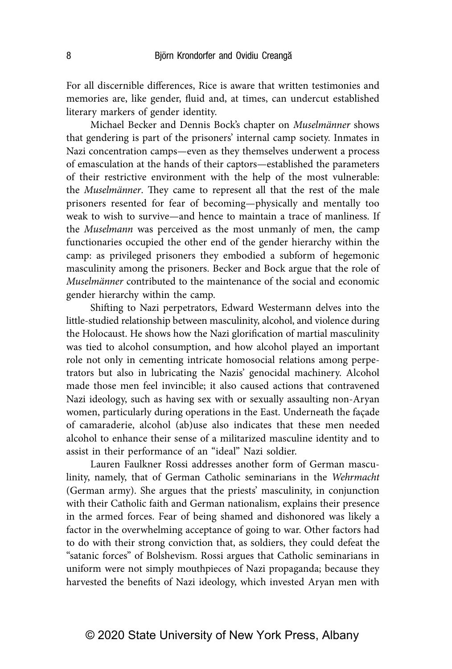For all discernible differences, Rice is aware that written testimonies and memories are, like gender, fluid and, at times, can undercut established literary markers of gender identity.

Michael Becker and Dennis Bock's chapter on *Muselmänner* shows that gendering is part of the prisoners' internal camp society. Inmates in Nazi concentration camps—even as they themselves underwent a process of emasculation at the hands of their captors—established the parameters of their restrictive environment with the help of the most vulnerable: the *Muselmänner*. They came to represent all that the rest of the male prisoners resented for fear of becoming—physically and mentally too weak to wish to survive—and hence to maintain a trace of manliness. If the *Muselmann* was perceived as the most unmanly of men, the camp functionaries occupied the other end of the gender hierarchy within the camp: as privileged prisoners they embodied a subform of hegemonic masculinity among the prisoners. Becker and Bock argue that the role of *Muselmänner* contributed to the maintenance of the social and economic gender hierarchy within the camp.

Shifting to Nazi perpetrators, Edward Westermann delves into the little-studied relationship between masculinity, alcohol, and violence during the Holocaust. He shows how the Nazi glorification of martial masculinity was tied to alcohol consumption, and how alcohol played an important role not only in cementing intricate homosocial relations among perpetrators but also in lubricating the Nazis' genocidal machinery. Alcohol made those men feel invincible; it also caused actions that contravened Nazi ideology, such as having sex with or sexually assaulting non-Aryan women, particularly during operations in the East. Underneath the façade of camaraderie, alcohol (ab)use also indicates that these men needed alcohol to enhance their sense of a militarized masculine identity and to assist in their performance of an "ideal" Nazi soldier.

Lauren Faulkner Rossi addresses another form of German masculinity, namely, that of German Catholic seminarians in the *Wehrmacht* (German army). She argues that the priests' masculinity, in conjunction with their Catholic faith and German nationalism, explains their presence in the armed forces. Fear of being shamed and dishonored was likely a factor in the overwhelming acceptance of going to war. Other factors had to do with their strong conviction that, as soldiers, they could defeat the "satanic forces" of Bolshevism. Rossi argues that Catholic seminarians in uniform were not simply mouthpieces of Nazi propaganda; because they harvested the benefits of Nazi ideology, which invested Aryan men with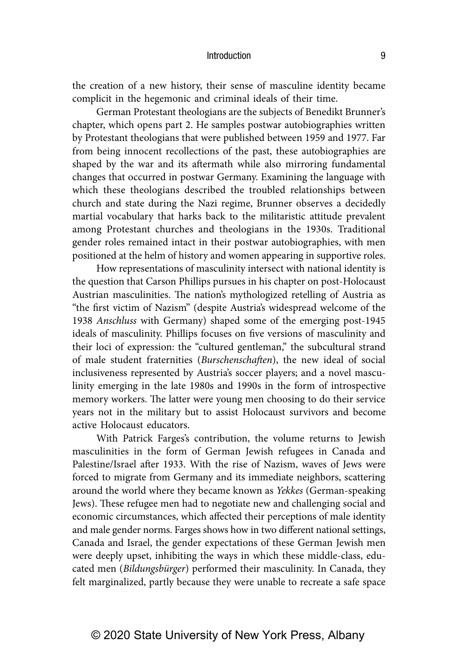the creation of a new history, their sense of masculine identity became complicit in the hegemonic and criminal ideals of their time.

German Protestant theologians are the subjects of Benedikt Brunner's chapter, which opens part 2. He samples postwar autobiographies written by Protestant theologians that were published between 1959 and 1977. Far from being innocent recollections of the past, these autobiographies are shaped by the war and its aftermath while also mirroring fundamental changes that occurred in postwar Germany. Examining the language with which these theologians described the troubled relationships between church and state during the Nazi regime, Brunner observes a decidedly martial vocabulary that harks back to the militaristic attitude prevalent among Protestant churches and theologians in the 1930s. Traditional gender roles remained intact in their postwar autobiographies, with men positioned at the helm of history and women appearing in supportive roles.

How representations of masculinity intersect with national identity is the question that Carson Phillips pursues in his chapter on post-Holocaust Austrian masculinities. The nation's mythologized retelling of Austria as "the first victim of Nazism" (despite Austria's widespread welcome of the 1938 *Anschluss* with Germany) shaped some of the emerging post-1945 ideals of masculinity. Phillips focuses on five versions of masculinity and their loci of expression: the "cultured gentleman," the subcultural strand of male student fraternities (*Burschenschaften*), the new ideal of social inclusiveness represented by Austria's soccer players; and a novel masculinity emerging in the late 1980s and 1990s in the form of introspective memory workers. The latter were young men choosing to do their service years not in the military but to assist Holocaust survivors and become active Holocaust educators.

With Patrick Farges's contribution, the volume returns to Jewish masculinities in the form of German Jewish refugees in Canada and Palestine/Israel after 1933. With the rise of Nazism, waves of Jews were forced to migrate from Germany and its immediate neighbors, scattering around the world where they became known as *Yekkes* (German-speaking Jews). These refugee men had to negotiate new and challenging social and economic circumstances, which affected their perceptions of male identity and male gender norms. Farges shows how in two different national settings, Canada and Israel, the gender expectations of these German Jewish men were deeply upset, inhibiting the ways in which these middle-class, educated men (*Bildungsbürger*) performed their masculinity. In Canada, they felt marginalized, partly because they were unable to recreate a safe space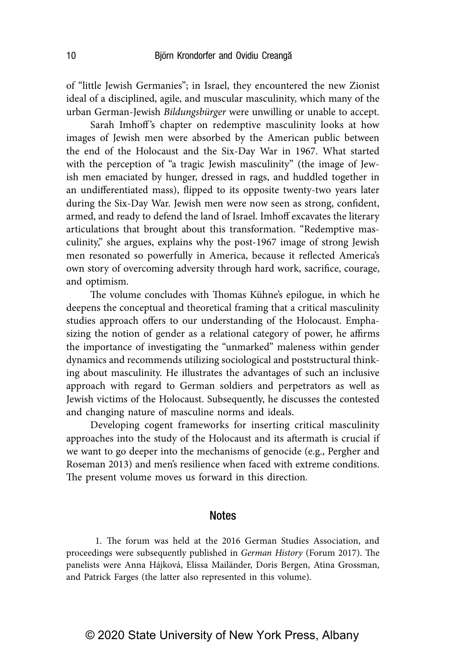of "little Jewish Germanies"; in Israel, they encountered the new Zionist ideal of a disciplined, agile, and muscular masculinity, which many of the urban German-Jewish *Bildungsbürger* were unwilling or unable to accept.

Sarah Imhoff's chapter on redemptive masculinity looks at how images of Jewish men were absorbed by the American public between the end of the Holocaust and the Six-Day War in 1967. What started with the perception of "a tragic Jewish masculinity" (the image of Jewish men emaciated by hunger, dressed in rags, and huddled together in an undifferentiated mass), flipped to its opposite twenty-two years later during the Six-Day War. Jewish men were now seen as strong, confident, armed, and ready to defend the land of Israel. Imhoff excavates the literary articulations that brought about this transformation. "Redemptive masculinity," she argues, explains why the post-1967 image of strong Jewish men resonated so powerfully in America, because it reflected America's own story of overcoming adversity through hard work, sacrifice, courage, and optimism.

The volume concludes with Thomas Kühne's epilogue, in which he deepens the conceptual and theoretical framing that a critical masculinity studies approach offers to our understanding of the Holocaust. Emphasizing the notion of gender as a relational category of power, he affirms the importance of investigating the "unmarked" maleness within gender dynamics and recommends utilizing sociological and poststructural thinking about masculinity. He illustrates the advantages of such an inclusive approach with regard to German soldiers and perpetrators as well as Jewish victims of the Holocaust. Subsequently, he discusses the contested and changing nature of masculine norms and ideals.

Developing cogent frameworks for inserting critical masculinity approaches into the study of the Holocaust and its aftermath is crucial if we want to go deeper into the mechanisms of genocide (e.g., Pergher and Roseman 2013) and men's resilience when faced with extreme conditions. The present volume moves us forward in this direction.

## **Notes**

 1. The forum was held at the 2016 German Studies Association, and proceedings were subsequently published in *German History* (Forum 2017). The panelists were Anna Hájková, Elissa Mailänder, Doris Bergen, Atina Grossman, and Patrick Farges (the latter also represented in this volume).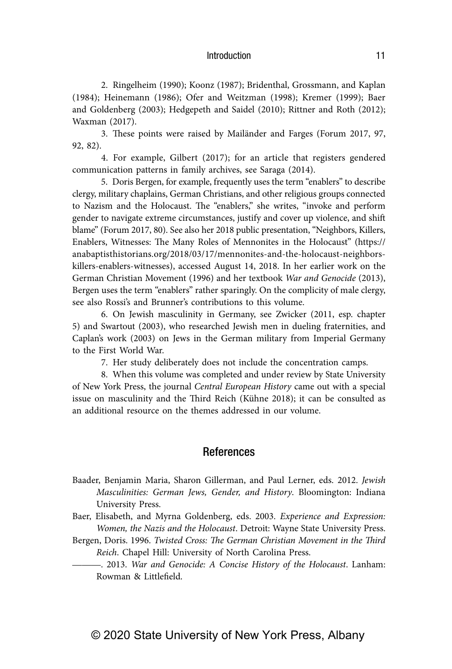2. Ringelheim (1990); Koonz (1987); Bridenthal, Grossmann, and Kaplan (1984); Heinemann (1986); Ofer and Weitzman (1998); Kremer (1999); Baer and Goldenberg (2003); Hedgepeth and Saidel (2010); Rittner and Roth (2012); Waxman (2017).

 3. These points were raised by Mailänder and Farges (Forum 2017, 97, 92, 82).

 4. For example, Gilbert (2017); for an article that registers gendered communication patterns in family archives, see Saraga (2014).

 5. Doris Bergen, for example, frequently uses the term "enablers" to describe clergy, military chaplains, German Christians, and other religious groups connected to Nazism and the Holocaust. The "enablers," she writes, "invoke and perform gender to navigate extreme circumstances, justify and cover up violence, and shift blame" (Forum 2017, 80). See also her 2018 public presentation, "Neighbors, Killers, Enablers, Witnesses: The Many Roles of Mennonites in the Holocaust" (https:// anabaptisthistorians.org/2018/03/17/mennonites-and-the-holocaust- neighborskillers-enablers-witnesses), accessed August 14, 2018. In her earlier work on the German Christian Movement (1996) and her textbook *War and Genocide* (2013), Bergen uses the term "enablers" rather sparingly. On the complicity of male clergy, see also Rossi's and Brunner's contributions to this volume.

 6. On Jewish masculinity in Germany, see Zwicker (2011, esp. chapter 5) and Swartout (2003), who researched Jewish men in dueling fraternities, and Caplan's work (2003) on Jews in the German military from Imperial Germany to the First World War.

7. Her study deliberately does not include the concentration camps.

 8. When this volume was completed and under review by State University of New York Press, the journal *Central European History* came out with a special issue on masculinity and the Third Reich (Kühne 2018); it can be consulted as an additional resource on the themes addressed in our volume.

## References

- Baader, Benjamin Maria, Sharon Gillerman, and Paul Lerner, eds. 2012. *Jewish Masculinities: German Jews, Gender, and History*. Bloomington: Indiana University Press.
- Baer, Elisabeth, and Myrna Goldenberg, eds. 2003. *Experience and Expression: Women, the Nazis and the Holocaust*. Detroit: Wayne State University Press.
- Bergen, Doris. 1996. *Twisted Cross: The German Christian Movement in the Third Reich*. Chapel Hill: University of North Carolina Press.

———. 2013. *War and Genocide: A Concise History of the Holocaust*. Lanham: Rowman & Littlefield.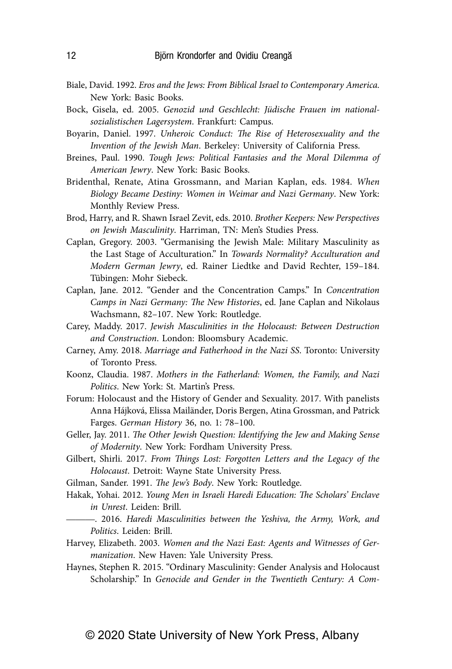- Biale, David. 1992. *Eros and the Jews: From Biblical Israel to Contemporary America*. New York: Basic Books.
- Bock, Gisela, ed. 2005. *Genozid und Geschlecht: Jüdische Frauen im nationalsozialistischen Lagersystem*. Frankfurt: Campus.
- Boyarin, Daniel. 1997. *Unheroic Conduct: The Rise of Heterosexuality and the Invention of the Jewish Man*. Berkeley: University of California Press.
- Breines, Paul. 1990. *Tough Jews: Political Fantasies and the Moral Dilemma of American Jewry*. New York: Basic Books.
- Bridenthal, Renate, Atina Grossmann, and Marian Kaplan, eds. 1984. *When Biology Became Destiny: Women in Weimar and Nazi Germany*. New York: Monthly Review Press.
- Brod, Harry, and R. Shawn Israel Zevit, eds. 2010. *Brother Keepers: New Perspectives on Jewish Masculinity*. Harriman, TN: Men's Studies Press.
- Caplan, Gregory. 2003. "Germanising the Jewish Male: Military Masculinity as the Last Stage of Acculturation." In *Towards Normality? Acculturation and Modern German Jewry*, ed. Rainer Liedtke and David Rechter, 159–184. Tübingen: Mohr Siebeck.
- Caplan, Jane. 2012. "Gender and the Concentration Camps." In *Concentration Camps in Nazi Germany: The New Histories*, ed. Jane Caplan and Nikolaus Wachsmann, 82–107. New York: Routledge.
- Carey, Maddy. 2017. *Jewish Masculinities in the Holocaust: Between Destruction and Construction*. London: Bloomsbury Academic.
- Carney, Amy. 2018. *Marriage and Fatherhood in the Nazi SS*. Toronto: University of Toronto Press.
- Koonz, Claudia. 1987. *Mothers in the Fatherland: Women, the Family, and Nazi Politics*. New York: St. Martin's Press.
- Forum: Holocaust and the History of Gender and Sexuality. 2017. With panelists Anna Hájková, Elissa Mailänder, Doris Bergen, Atina Grossman, and Patrick Farges. *German History* 36, no. 1: 78–100.
- Geller, Jay. 2011. *The Other Jewish Question: Identifying the Jew and Making Sense of Modernity*. New York: Fordham University Press.
- Gilbert, Shirli. 2017. *From Things Lost: Forgotten Letters and the Legacy of the Holocaust*. Detroit: Wayne State University Press.
- Gilman, Sander. 1991. *The Jew's Body*. New York: Routledge.
- Hakak, Yohai. 2012. *Young Men in Israeli Haredi Education: The Scholars' Enclave in Unrest*. Leiden: Brill.
	- ———. 2016. *Haredi Masculinities between the Yeshiva, the Army, Work, and Politics*. Leiden: Brill.
- Harvey, Elizabeth. 2003. *Women and the Nazi East: Agents and Witnesses of Germanization*. New Haven: Yale University Press.
- Haynes, Stephen R. 2015. "Ordinary Masculinity: Gender Analysis and Holocaust Scholarship." In *Genocide and Gender in the Twentieth Century: A Com-*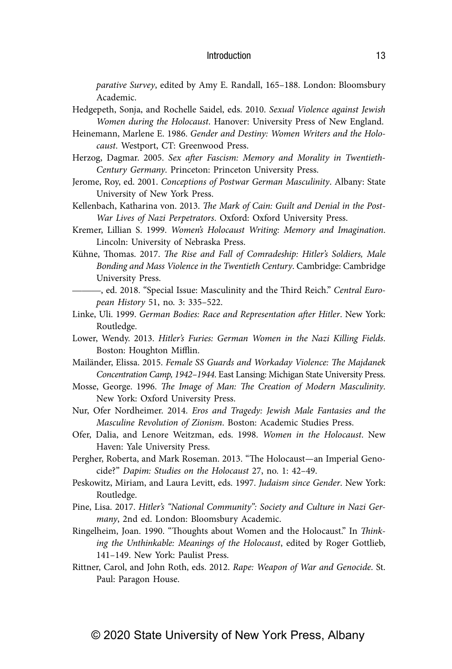*parative Survey*, edited by Amy E. Randall, 165–188. London: Bloomsbury Academic.

- Hedgepeth, Sonja, and Rochelle Saidel, eds. 2010. *Sexual Violence against Jewish Women during the Holocaust*. Hanover: University Press of New England.
- Heinemann, Marlene E. 1986. *Gender and Destiny: Women Writers and the Holocaust*. Westport, CT: Greenwood Press.
- Herzog, Dagmar. 2005. *Sex after Fascism: Memory and Morality in Twentieth-Century Germany*. Princeton: Princeton University Press.
- Jerome, Roy, ed. 2001. *Conceptions of Postwar German Masculinity*. Albany: State University of New York Press.
- Kellenbach, Katharina von. 2013. *The Mark of Cain: Guilt and Denial in the Post-War Lives of Nazi Perpetrators*. Oxford: Oxford University Press.
- Kremer, Lillian S. 1999. *Women's Holocaust Writing: Memory and Imagination*. Lincoln: University of Nebraska Press.
- Kühne, Thomas. 2017. *The Rise and Fall of Comradeship: Hitler's Soldiers, Male Bonding and Mass Violence in the Twentieth Century*. Cambridge: Cambridge University Press.
- ———, ed. 2018. "Special Issue: Masculinity and the Third Reich." *Central European History* 51, no. 3: 335–522.
- Linke, Uli. 1999. *German Bodies: Race and Representation after Hitler*. New York: Routledge.
- Lower, Wendy. 2013. *Hitler's Furies: German Women in the Nazi Killing Fields*. Boston: Houghton Mifflin.
- Mailänder, Elissa. 2015. *Female SS Guards and Workaday Violence: The Majdanek Concentration Camp, 1942–1944*. East Lansing: Michigan State University Press.
- Mosse, George. 1996. *The Image of Man: The Creation of Modern Masculinity*. New York: Oxford University Press.
- Nur, Ofer Nordheimer. 2014. *Eros and Tragedy: Jewish Male Fantasies and the Masculine Revolution of Zionism*. Boston: Academic Studies Press.
- Ofer, Dalia, and Lenore Weitzman, eds. 1998. *Women in the Holocaust*. New Haven: Yale University Press.
- Pergher, Roberta, and Mark Roseman. 2013. "The Holocaust—an Imperial Genocide?" *Dapim: Studies on the Holocaust* 27, no. 1: 42–49.
- Peskowitz, Miriam, and Laura Levitt, eds. 1997. *Judaism since Gender*. New York: Routledge.
- Pine, Lisa. 2017. *Hitler's "National Community": Society and Culture in Nazi Germany*, 2nd ed. London: Bloomsbury Academic.
- Ringelheim, Joan. 1990. "Thoughts about Women and the Holocaust." In *Thinking the Unthinkable: Meanings of the Holocaust*, edited by Roger Gottlieb, 141–149. New York: Paulist Press.
- Rittner, Carol, and John Roth, eds. 2012. *Rape: Weapon of War and Genocide*. St. Paul: Paragon House.